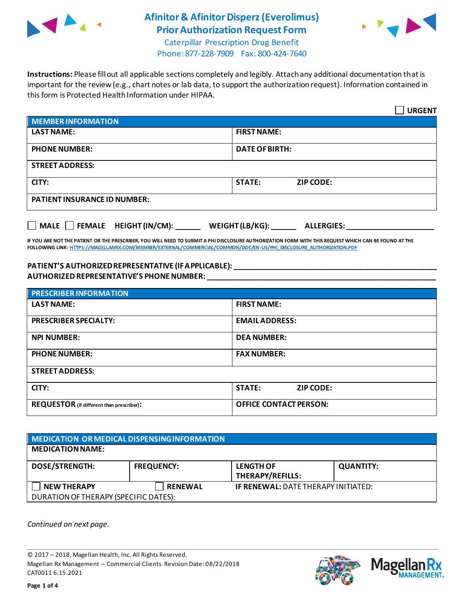

## **Afinitor & Afinitor Disperz(Everolimus) Prior Authorization Request Form**



Caterpillar Prescription Drug Benefit Phone: 877-228-7909 Fax: 800-424-7640

**Instructions:** Please fill out all applicable sections completely and legibly. Attach any additional documentation that is important for the review (e.g., chart notes or lab data, to support the authorization request). Information contained in this form is Protected Health Information under HIPAA.

|                                                  | <b>URGENT</b>                        |  |
|--------------------------------------------------|--------------------------------------|--|
| <b>MEMBER INFORMATION</b>                        |                                      |  |
| <b>LAST NAME:</b>                                | <b>FIRST NAME:</b>                   |  |
| <b>PHONE NUMBER:</b>                             | <b>DATE OF BIRTH:</b>                |  |
| <b>STREET ADDRESS:</b>                           |                                      |  |
| CITY:                                            | <b>STATE:</b><br><b>ZIP CODE:</b>    |  |
| <b>PATIENT INSURANCE ID NUMBER:</b>              |                                      |  |
| $\Box$ MALE $\Box$ FEMALE HEIGHT (IN/CM): ______ | WEIGHT (LB/KG):<br><b>ALLERGIES:</b> |  |

**IF YOU ARE NOT THE PATIENT OR THE PRESCRIBER, YOU WILL NEED TO SUBMIT A PHI DISCLOSURE AUTHORIZATION FORM WITH THIS REQUEST WHICH CAN BE FOUND AT THE FOLLOWING LINK[: HTTPS://MAGELLANRX.COM/MEMBER/EXTERNAL/COMMERCIAL/COMMON/DOC/EN-US/PHI\\_DISCLOSURE\\_AUTHORIZATION.PDF](https://magellanrx.com/member/external/commercial/common/doc/en-us/PHI_Disclosure_Authorization.pdf)**

## **PATIENT'S AUTHORIZED REPRESENTATIVE (IF APPLICABLE): \_\_\_\_\_\_\_\_\_\_\_\_\_\_\_\_\_\_\_\_\_\_\_\_\_\_\_\_\_\_\_\_\_\_\_\_\_\_\_\_\_\_\_\_\_\_\_\_\_ AUTHORIZED REPRESENTATIVE'S PHONE NUMBER: \_\_\_\_\_\_\_\_\_\_\_\_\_\_\_\_\_\_\_\_\_\_\_\_\_\_\_\_\_\_\_\_\_\_\_\_\_\_\_\_\_\_\_\_\_\_\_\_\_\_\_\_\_\_\_**

| <b>PRESCRIBER INFORMATION</b>             |                               |  |
|-------------------------------------------|-------------------------------|--|
| <b>LAST NAME:</b>                         | <b>FIRST NAME:</b>            |  |
| <b>PRESCRIBER SPECIALTY:</b>              | <b>EMAIL ADDRESS:</b>         |  |
| <b>NPI NUMBER:</b>                        | <b>DEA NUMBER:</b>            |  |
| <b>PHONE NUMBER:</b>                      | <b>FAX NUMBER:</b>            |  |
| <b>STREET ADDRESS:</b>                    |                               |  |
| CITY:                                     | <b>STATE:</b><br>ZIP CODE:    |  |
| REQUESTOR (if different than prescriber): | <b>OFFICE CONTACT PERSON:</b> |  |

| MEDICATION OR MEDICAL DISPENSING INFORMATION |                   |                                             |                  |  |
|----------------------------------------------|-------------------|---------------------------------------------|------------------|--|
| <b>MEDICATION NAME:</b>                      |                   |                                             |                  |  |
| <b>DOSE/STRENGTH:</b>                        | <b>FREQUENCY:</b> | <b>LENGTH OF</b><br><b>THERAPY/REFILLS:</b> | <b>QUANTITY:</b> |  |
| <b>NEW THERAPY</b>                           | <b>RENEWAL</b>    | <b>IF RENEWAL: DATE THERAPY INITIATED:</b>  |                  |  |
| DURATION OF THERAPY (SPECIFIC DATES):        |                   |                                             |                  |  |

*Continued on next page.*

© 2017 – 2018, Magellan Health, Inc. All Rights Reserved. Magellan Rx Management – Commercial Clients. Revision Date: 08/22/2018 CAT0011 6.15.2021



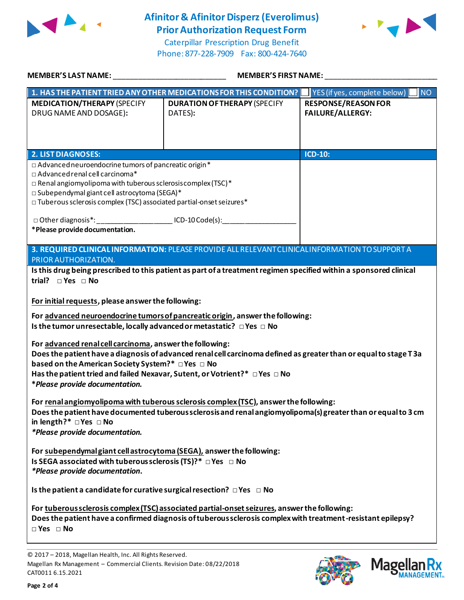

## **Afinitor & Afinitor Disperz(Everolimus) Prior Authorization Request Form**

Caterpillar Prescription Drug Benefit Phone: 877-228-7909 Fax: 800-424-7640



| <b>MEMBER'S LAST NAME:</b>                                                                                                                                                                                                                                                                                                                                                                                                                                                                                                                                                                                        | <b>MEMBER'S FIRST NAME:</b>                                                                                                                                                                                           |                                                       |  |  |
|-------------------------------------------------------------------------------------------------------------------------------------------------------------------------------------------------------------------------------------------------------------------------------------------------------------------------------------------------------------------------------------------------------------------------------------------------------------------------------------------------------------------------------------------------------------------------------------------------------------------|-----------------------------------------------------------------------------------------------------------------------------------------------------------------------------------------------------------------------|-------------------------------------------------------|--|--|
|                                                                                                                                                                                                                                                                                                                                                                                                                                                                                                                                                                                                                   | 1. HAS THE PATIENT TRIED ANY OTHER MEDICATIONS FOR THIS CONDITION?                                                                                                                                                    | <b>NO</b><br>YES (if yes, complete below)             |  |  |
| <b>MEDICATION/THERAPY (SPECIFY</b><br>DRUG NAME AND DOSAGE):                                                                                                                                                                                                                                                                                                                                                                                                                                                                                                                                                      | <b>DURATION OF THERAPY (SPECIFY</b><br>DATES):                                                                                                                                                                        | <b>RESPONSE/REASON FOR</b><br><b>FAILURE/ALLERGY:</b> |  |  |
| <b>2. LIST DIAGNOSES:</b>                                                                                                                                                                                                                                                                                                                                                                                                                                                                                                                                                                                         |                                                                                                                                                                                                                       | <b>ICD-10:</b>                                        |  |  |
| □ Advanced neuroendocrine tumors of pancreatic origin*<br>$\Box$ Advanced renal cell carcinoma*<br>$\square$ Renal angiomyolipoma with tuberous sclerosis complex (TSC) $^*$<br>□ Subependymal giant cell astrocytoma (SEGA)*<br>$\square$ Tuberous sclerosis complex (TSC) associated partial-onset seizures*<br>□ Other diagnosis*: _________________________ ICD-10 Code(s): __________                                                                                                                                                                                                                        |                                                                                                                                                                                                                       |                                                       |  |  |
| *Please provide documentation.                                                                                                                                                                                                                                                                                                                                                                                                                                                                                                                                                                                    |                                                                                                                                                                                                                       |                                                       |  |  |
| PRIOR AUTHORIZATION.                                                                                                                                                                                                                                                                                                                                                                                                                                                                                                                                                                                              | 3. REQUIRED CLINICAL INFORMATION: PLEASE PROVIDE ALL RELEVANT CLINICAL INFORMATION TO SUPPORT A<br>Is this drug being prescribed to this patient as part of a treatment regimen specified within a sponsored clinical |                                                       |  |  |
| trial? $\square$ Yes $\square$ No<br>For initial requests, please answer the following:<br>For advanced neuroendocrine tumors of pancreatic origin, answer the following:<br>Is the tumor unresectable, locally advanced or metastatic? $\Box$ Yes $\Box$ No<br>For advanced renal cell carcinoma, answer the following:<br>Does the patient have a diagnosis of advanced renal cell carcinoma defined as greater than or equal to stage T3a<br>based on the American Society System?* □ Yes □ No<br>Has the patient tried and failed Nexavar, Sutent, or Votrient?* □ Yes □ No<br>*Please provide documentation. |                                                                                                                                                                                                                       |                                                       |  |  |
| in length?* $\Box$ Yes $\Box$ No<br>*Please provide documentation.                                                                                                                                                                                                                                                                                                                                                                                                                                                                                                                                                | For renal angiomyolipoma with tuberous sclerosis complex (TSC), answer the following:<br>Does the patient have documented tuberous sclerosis and renal angiomyolipoma(s) greater than or equal to 3 cm                |                                                       |  |  |
| For subependymal giant cell astrocytoma (SEGA), answer the following:<br>Is SEGA associated with tuberous sclerosis (TS)?* $\Box$ Yes $\Box$ No<br>*Please provide documentation.                                                                                                                                                                                                                                                                                                                                                                                                                                 |                                                                                                                                                                                                                       |                                                       |  |  |
| Is the patient a candidate for curative surgical resection? $\Box$ Yes $\Box$ No                                                                                                                                                                                                                                                                                                                                                                                                                                                                                                                                  |                                                                                                                                                                                                                       |                                                       |  |  |
| $\Box$ Yes $\Box$ No                                                                                                                                                                                                                                                                                                                                                                                                                                                                                                                                                                                              | For tuberous sclerosis complex (TSC) associated partial-onset seizures, answer the following:<br>Does the patient have a confirmed diagnosis of tuberous sclerosis complex with treatment-resistant epilepsy?         |                                                       |  |  |





<sup>© 2017</sup> – 2018, Magellan Health, Inc. All Rights Reserved. Magellan Rx Management – Commercial Clients. Revision Date: 08/22/2018 CAT0011 6.15.2021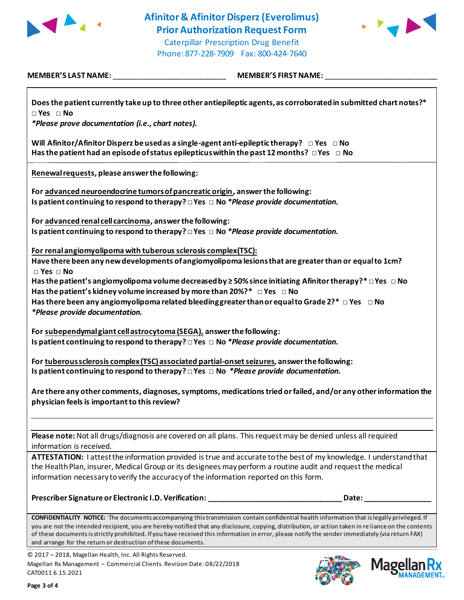

Phone: 877-228-7909 Fax: 800-424-7640



**MEMBER'S LAST NAME:** \_\_\_\_\_\_\_\_\_\_\_\_\_\_\_\_\_\_\_\_\_\_\_\_\_\_\_ **MEMBER'S FIRST NAME:** \_\_\_\_\_\_\_\_\_\_\_\_\_\_\_\_\_\_\_\_\_\_\_\_\_\_\_

| Does the patient currently take up to three other antiepileptic agents, as corroborated in submitted chart notes?*<br>$\Box$ Yes $\Box$ No<br>*Please prove documentation (i.e., chart notes).                                                                                                                                                                                                                                                                                                                                                                          |
|-------------------------------------------------------------------------------------------------------------------------------------------------------------------------------------------------------------------------------------------------------------------------------------------------------------------------------------------------------------------------------------------------------------------------------------------------------------------------------------------------------------------------------------------------------------------------|
| Will Afinitor/Afinitor Disperz be used as a single-agent anti-epileptic therapy? $\Box$ Yes $\Box$ No<br>Has the patient had an episode of status epilepticus within the past 12 months? $\Box$ Yes $\Box$ No                                                                                                                                                                                                                                                                                                                                                           |
| Renewal requests, please answer the following:                                                                                                                                                                                                                                                                                                                                                                                                                                                                                                                          |
| For advanced neuroendocrine tumors of pancreatic origin, answer the following:<br>Is patient continuing to respond to therapy? $\Box$ Yes $\Box$ No *Please provide documentation.                                                                                                                                                                                                                                                                                                                                                                                      |
| For advanced renal cell carcinoma, answer the following:<br>Is patient continuing to respond to therapy? $\Box$ Yes $\Box$ No *Please provide documentation.                                                                                                                                                                                                                                                                                                                                                                                                            |
| For renal angiomyolipoma with tuberous sclerosis complex (TSC):<br>Have there been any new developments of angiomyolipoma lesions that are greater than or equal to 1cm?<br>$\square$ Yes $\square$ No<br>Has the patient's angiomyolipoma volume decreased by $\geq$ 50% since initiating Afinitor therapy?* $\Box$ Yes $\Box$ No<br>Has the patient's kidney volume increased by more than 20%?* $\Box$ Yes $\Box$ No<br>Has there been any angiomyolipoma related bleeding greater than or equal to Grade 2?* $\Box$ Yes $\Box$ No<br>*Please provide documentation. |
| For subependymal giant cell astrocytoma (SEGA), answer the following:<br>Is patient continuing to respond to therapy? $\Box$ Yes $\Box$ No *Please provide documentation.                                                                                                                                                                                                                                                                                                                                                                                               |
| For tuberous sclerosis complex (TSC) associated partial-onset seizures, answer the following:<br>Is patient continuing to respond to therapy? $\Box$ Yes $\Box$ No *Please provide documentation.                                                                                                                                                                                                                                                                                                                                                                       |
| Are there any other comments, diagnoses, symptoms, medications tried or failed, and/or any other information the<br>physician feels is important to this review?                                                                                                                                                                                                                                                                                                                                                                                                        |
| Please note: Not all drugs/diagnosis are covered on all plans. This request may be denied unless all required<br>information is received.                                                                                                                                                                                                                                                                                                                                                                                                                               |
| ATTESTATION: I attest the information provided is true and accurate to the best of my knowledge. I understand that<br>the Health Plan, insurer, Medical Group or its designees may perform a routine audit and request the medical<br>information necessary to verify the accuracy of the information reported on this form.                                                                                                                                                                                                                                            |
| Prescriber Signature or Electronic I.D. Verification: __________________________<br>Date:                                                                                                                                                                                                                                                                                                                                                                                                                                                                               |
| CONFIDENTIALITY NOTICE: The documents accompanying this transmission contain confidential health information that is legally privileged. If<br>you are not the intended recipient, you are hereby notified that any disclosure, copying, distribution, or action taken in re liance on the contents<br>of these documents is strictly prohibited. If you have received this information in error, please notify the sender immediately (via return FAX)                                                                                                                 |

© 2017 – 2018, Magellan Health, Inc. All Rights Reserved. Magellan Rx Management – Commercial Clients. Revision Date: 08/22/2018

and arrange for the return or destruction of these documents.



CAT0011 6.15.2021